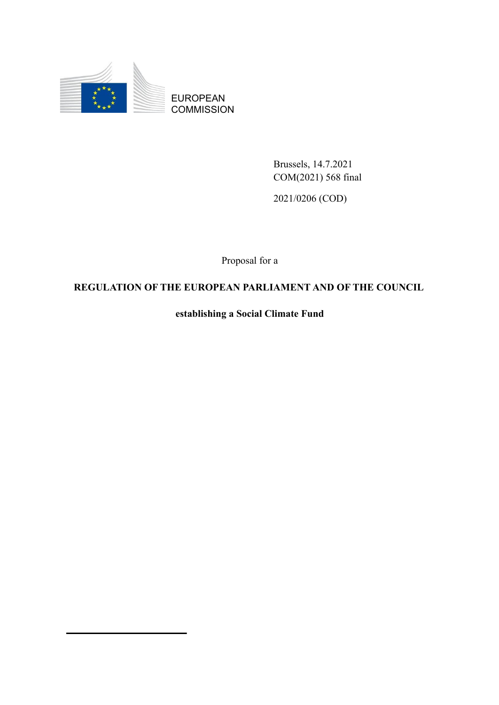

EUROPEAN **COMMISSION** 

> Brussels, 14.7.2021 COM(2021) 568 final

2021/0206 (COD)

Proposal for a

# **REGULATION OF THE EUROPEAN PARLIAMENT AND OF THE COUNCIL**

**establishing a Social Climate Fund**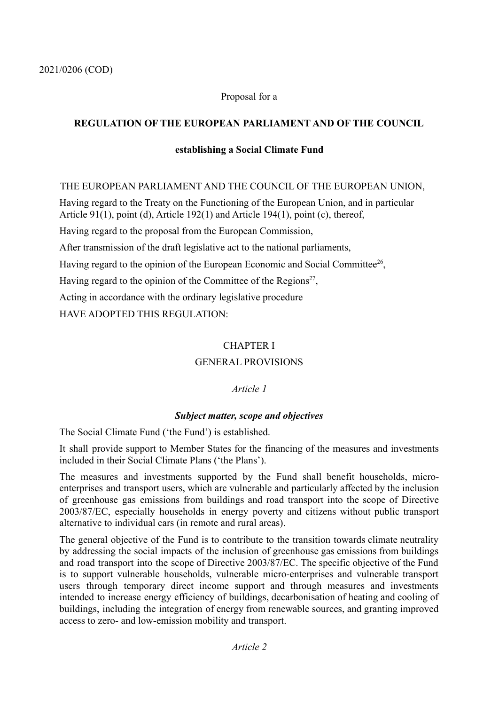### Proposal for a

### **REGULATION OF THE EUROPEAN PARLIAMENT AND OF THE COUNCIL**

#### **establishing a Social Climate Fund**

#### THE EUROPEAN PARLIAMENT AND THE COUNCIL OF THE EUROPEAN UNION,

Having regard to the Treaty on the Functioning of the European Union, and in particular Article 91(1), point (d), Article 192(1) and Article 194(1), point (c), thereof,

Having regard to the proposal from the European Commission,

After transmission of the draft legislative act to the national parliaments,

Having regard to the opinion of the European Economic and Social Committee<sup>26</sup>,

Having regard to the opinion of the Committee of the Regions<sup>27</sup>,

Acting in accordance with the ordinary legislative procedure

HAVE ADOPTED THIS REGULATION:

### CHAPTER I

### GENERAL PROVISIONS

#### *Article 1*

#### *Subject matter, scope and objectives*

The Social Climate Fund ('the Fund') is established.

It shall provide support to Member States for the financing of the measures and investments included in their Social Climate Plans ('the Plans').

The measures and investments supported by the Fund shall benefit households, microenterprises and transport users, which are vulnerable and particularly affected by the inclusion of greenhouse gas emissions from buildings and road transport into the scope of Directive 2003/87/EC, especially households in energy poverty and citizens without public transport alternative to individual cars (in remote and rural areas).

The general objective of the Fund is to contribute to the transition towards climate neutrality by addressing the social impacts of the inclusion of greenhouse gas emissions from buildings and road transport into the scope of Directive 2003/87/EC. The specific objective of the Fund is to support vulnerable households, vulnerable micro-enterprises and vulnerable transport users through temporary direct income support and through measures and investments intended to increase energy efficiency of buildings, decarbonisation of heating and cooling of buildings, including the integration of energy from renewable sources, and granting improved access to zero- and low-emission mobility and transport.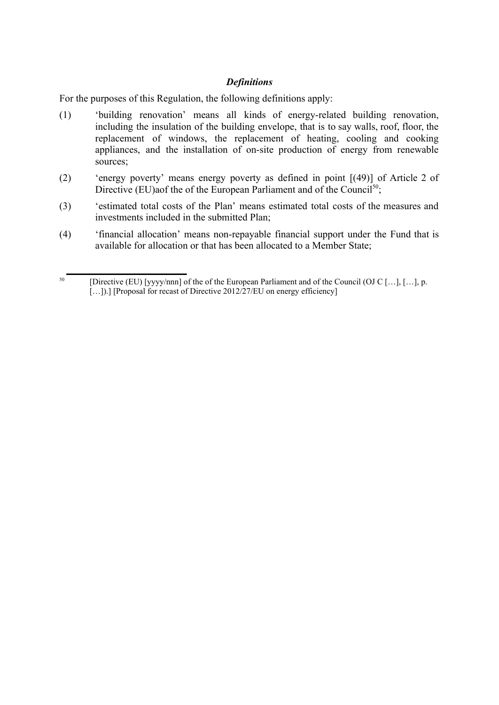### *Definitions*

For the purposes of this Regulation, the following definitions apply:

- (1) 'building renovation' means all kinds of energy-related building renovation, including the insulation of the building envelope, that is to say walls, roof, floor, the replacement of windows, the replacement of heating, cooling and cooking appliances, and the installation of on-site production of energy from renewable sources;
- (2) 'energy poverty' means energy poverty as defined in point [(49)] of Article 2 of Directive (EU)aof the of the European Parliament and of the Council<sup>50</sup>;
- (3) 'estimated total costs of the Plan' means estimated total costs of the measures and investments included in the submitted Plan;
- (4) 'financial allocation' means non-repayable financial support under the Fund that is available for allocation or that has been allocated to a Member State;

<sup>&</sup>lt;sup>50</sup> [Directive (EU) [yyyy/nnn] of the of the European Parliament and of the Council (OJ C […], […], p. [...]).] [Proposal for recast of Directive 2012/27/EU on energy efficiency]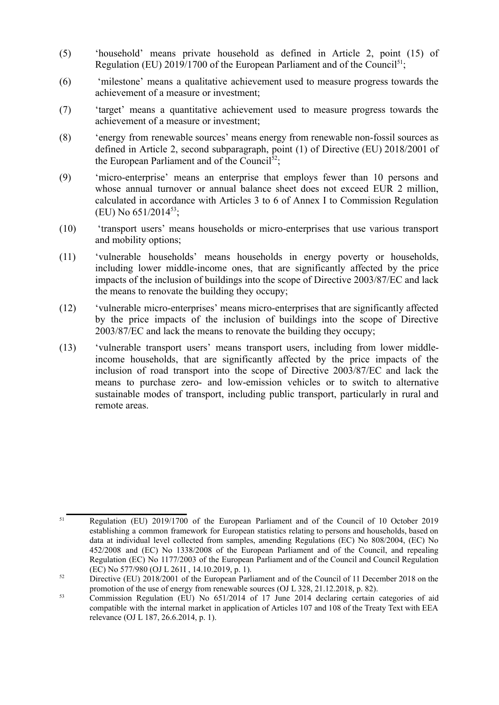- (5) 'household' means private household as defined in Article 2, point (15) of Regulation (EU) 2019/1700 of the European Parliament and of the Council<sup>51</sup>;
- (6) 'milestone' means a qualitative achievement used to measure progress towards the achievement of a measure or investment;
- (7) 'target' means a quantitative achievement used to measure progress towards the achievement of a measure or investment;
- (8) 'energy from renewable sources' means energy from renewable non-fossil sources as defined in Article 2, second subparagraph, point (1) of Directive (EU) 2018/2001 of the European Parliament and of the Council $52$ ;
- (9) 'micro-enterprise' means an enterprise that employs fewer than 10 persons and whose annual turnover or annual balance sheet does not exceed EUR 2 million, calculated in accordance with Articles 3 to 6 of Annex I to Commission Regulation (EU) No 651/2014<sup>53</sup>;
- (10) 'transport users' means households or micro-enterprises that use various transport and mobility options;
- (11) 'vulnerable households' means households in energy poverty or households, including lower middle-income ones, that are significantly affected by the price impacts of the inclusion of buildings into the scope of Directive 2003/87/EC and lack the means to renovate the building they occupy;
- (12) 'vulnerable micro-enterprises' means micro-enterprises that are significantly affected by the price impacts of the inclusion of buildings into the scope of Directive 2003/87/EC and lack the means to renovate the building they occupy;
- (13) 'vulnerable transport users' means transport users, including from lower middleincome households, that are significantly affected by the price impacts of the inclusion of road transport into the scope of Directive 2003/87/EC and lack the means to purchase zero- and low-emission vehicles or to switch to alternative sustainable modes of transport, including public transport, particularly in rural and remote areas.

<sup>&</sup>lt;sup>51</sup> Regulation (EU) 2019/1700 of the European Parliament and of the Council of 10 October 2019 establishing a common framework for European statistics relating to persons and households, based on data at individual level collected from samples, amending Regulations (EC) No 808/2004, (EC) No 452/2008 and (EC) No 1338/2008 of the European Parliament and of the Council, and repealing Regulation (EC) No 1177/2003 of the European Parliament and of the Council and Council Regulation (EC) No 577/980 (OJ L 261I , 14.10.2019, p. 1).

<sup>&</sup>lt;sup>52</sup> Directive (EU) 2018/2001 of the European Parliament and of the Council of 11 December 2018 on the promotion of the use of energy from renewable sources (OJ L 328, 21.12.2018, p. 82).

 $\frac{53}{2}$  Commission Regulation (EU) No 651/2014 of 17 June 2014 declaring certain categories of aid compatible with the internal market in application of Articles 107 and 108 of the Treaty Text with EEA relevance (OJ L 187, 26.6.2014, p. 1).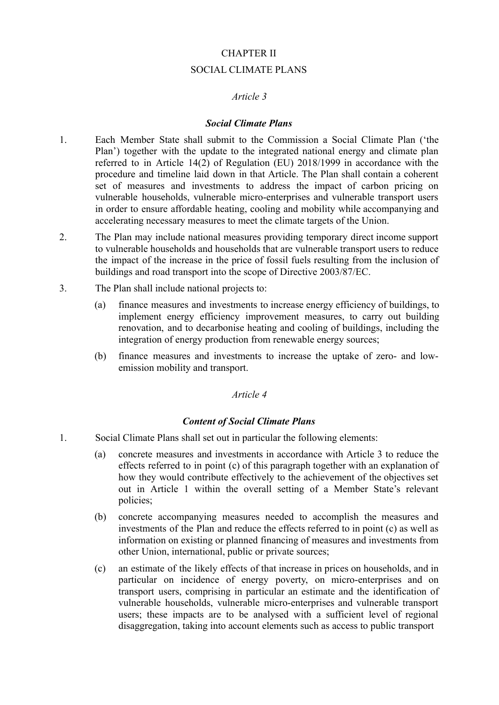# CHAPTER II SOCIAL CLIMATE PLANS

### *Article 3*

#### *Social Climate Plans*

- 1. Each Member State shall submit to the Commission a Social Climate Plan ('the Plan') together with the update to the integrated national energy and climate plan referred to in Article 14(2) of Regulation (EU) 2018/1999 in accordance with the procedure and timeline laid down in that Article. The Plan shall contain a coherent set of measures and investments to address the impact of carbon pricing on vulnerable households, vulnerable micro-enterprises and vulnerable transport users in order to ensure affordable heating, cooling and mobility while accompanying and accelerating necessary measures to meet the climate targets of the Union.
- 2. The Plan may include national measures providing temporary direct income support to vulnerable households and households that are vulnerable transport users to reduce the impact of the increase in the price of fossil fuels resulting from the inclusion of buildings and road transport into the scope of Directive 2003/87/EC.
- 3. The Plan shall include national projects to:
	- (a) finance measures and investments to increase energy efficiency of buildings, to implement energy efficiency improvement measures, to carry out building renovation, and to decarbonise heating and cooling of buildings, including the integration of energy production from renewable energy sources;
	- (b) finance measures and investments to increase the uptake of zero- and lowemission mobility and transport.

#### *Article 4*

#### *Content of Social Climate Plans*

- 1. Social Climate Plans shall set out in particular the following elements:
	- (a) concrete measures and investments in accordance with Article 3 to reduce the effects referred to in point (c) of this paragraph together with an explanation of how they would contribute effectively to the achievement of the objectives set out in Article 1 within the overall setting of a Member State's relevant policies;
	- (b) concrete accompanying measures needed to accomplish the measures and investments of the Plan and reduce the effects referred to in point (c) as well as information on existing or planned financing of measures and investments from other Union, international, public or private sources;
	- (c) an estimate of the likely effects of that increase in prices on households, and in particular on incidence of energy poverty, on micro-enterprises and on transport users, comprising in particular an estimate and the identification of vulnerable households, vulnerable micro-enterprises and vulnerable transport users; these impacts are to be analysed with a sufficient level of regional disaggregation, taking into account elements such as access to public transport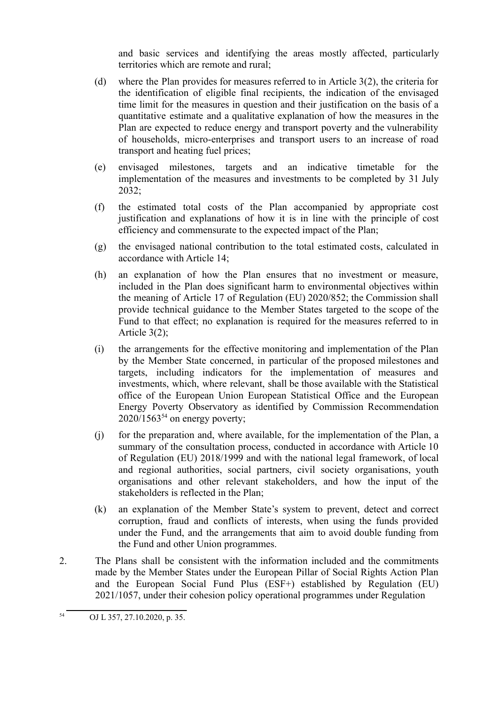and basic services and identifying the areas mostly affected, particularly territories which are remote and rural;

- (d) where the Plan provides for measures referred to in Article 3(2), the criteria for the identification of eligible final recipients, the indication of the envisaged time limit for the measures in question and their justification on the basis of a quantitative estimate and a qualitative explanation of how the measures in the Plan are expected to reduce energy and transport poverty and the vulnerability of households, micro-enterprises and transport users to an increase of road transport and heating fuel prices;
- (e) envisaged milestones, targets and an indicative timetable for the implementation of the measures and investments to be completed by 31 July 2032;
- (f) the estimated total costs of the Plan accompanied by appropriate cost justification and explanations of how it is in line with the principle of cost efficiency and commensurate to the expected impact of the Plan;
- (g) the envisaged national contribution to the total estimated costs, calculated in accordance with Article 14;
- (h) an explanation of how the Plan ensures that no investment or measure, included in the Plan does significant harm to environmental objectives within the meaning of Article 17 of Regulation (EU) 2020/852; the Commission shall provide technical guidance to the Member States targeted to the scope of the Fund to that effect; no explanation is required for the measures referred to in Article 3(2);
- (i) the arrangements for the effective monitoring and implementation of the Plan by the Member State concerned, in particular of the proposed milestones and targets, including indicators for the implementation of measures and investments, which, where relevant, shall be those available with the Statistical office of the European Union European Statistical Office and the European Energy Poverty Observatory as identified by Commission Recommendation  $2020/1563^{54}$  on energy poverty;
- (j) for the preparation and, where available, for the implementation of the Plan, a summary of the consultation process, conducted in accordance with Article 10 of Regulation (EU) 2018/1999 and with the national legal framework, of local and regional authorities, social partners, civil society organisations, youth organisations and other relevant stakeholders, and how the input of the stakeholders is reflected in the Plan;
- (k) an explanation of the Member State's system to prevent, detect and correct corruption, fraud and conflicts of interests, when using the funds provided under the Fund, and the arrangements that aim to avoid double funding from the Fund and other Union programmes.
- 2. The Plans shall be consistent with the information included and the commitments made by the Member States under the European Pillar of Social Rights Action Plan and the European Social Fund Plus (ESF+) established by Regulation (EU) 2021/1057, under their cohesion policy operational programmes under Regulation

<sup>54</sup> OJ L 357, 27.10.2020, p. 35.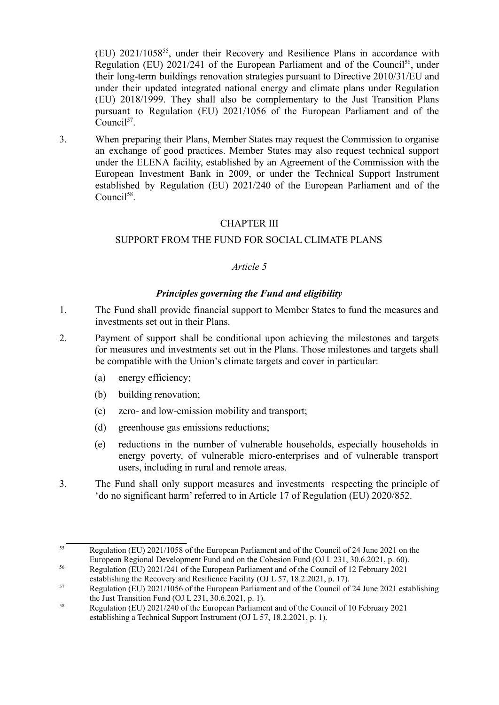(EU) 2021/1058<sup>55</sup> , under their Recovery and Resilience Plans in accordance with Regulation (EU) 2021/241 of the European Parliament and of the Council<sup>56</sup>, under their long-term buildings renovation strategies pursuant to Directive 2010/31/EU and under their updated integrated national energy and climate plans under Regulation (EU) 2018/1999. They shall also be complementary to the Just Transition Plans pursuant to Regulation (EU) 2021/1056 of the European Parliament and of the Council<sup>57</sup>.

3. When preparing their Plans, Member States may request the Commission to organise an exchange of good practices. Member States may also request technical support under the ELENA facility, established by an Agreement of the Commission with the European Investment Bank in 2009, or under the Technical Support Instrument established by Regulation (EU) 2021/240 of the European Parliament and of the Council<sup>58</sup>.

# CHAPTER III

# SUPPORT FROM THE FUND FOR SOCIAL CLIMATE PLANS

### *Article 5*

### *Principles governing the Fund and eligibility*

- 1. The Fund shall provide financial support to Member States to fund the measures and investments set out in their Plans.
- 2. Payment of support shall be conditional upon achieving the milestones and targets for measures and investments set out in the Plans. Those milestones and targets shall be compatible with the Union's climate targets and cover in particular:
	- (a) energy efficiency;
	- (b) building renovation;
	- (c) zero- and low-emission mobility and transport;
	- (d) greenhouse gas emissions reductions;
	- (e) reductions in the number of vulnerable households, especially households in energy poverty, of vulnerable micro-enterprises and of vulnerable transport users, including in rural and remote areas.
- 3. The Fund shall only support measures and investments respecting the principle of 'do no significant harm' referred to in Article 17 of Regulation (EU) 2020/852.

<sup>&</sup>lt;sup>55</sup> Regulation (EU) 2021/1058 of the European Parliament and of the Council of 24 June 2021 on the European Regional Development Fund and on the Cohesion Fund (OJ L 231, 30.6.2021, p. 60).

<sup>&</sup>lt;sup>56</sup> Regulation (EU) 2021/241 of the European Parliament and of the Council of 12 February 2021 establishing the Recovery and Resilience Facility (OJ L 57, 18.2.2021, p. 17).

<sup>&</sup>lt;sup>57</sup> Regulation (EU) 2021/1056 of the European Parliament and of the Council of 24 June 2021 establishing the Just Transition Fund (OJ L 231, 30.6.2021, p. 1).

<sup>&</sup>lt;sup>58</sup> Regulation (EU) 2021/240 of the European Parliament and of the Council of 10 February 2021 establishing a Technical Support Instrument (OJ L 57, 18.2.2021, p. 1).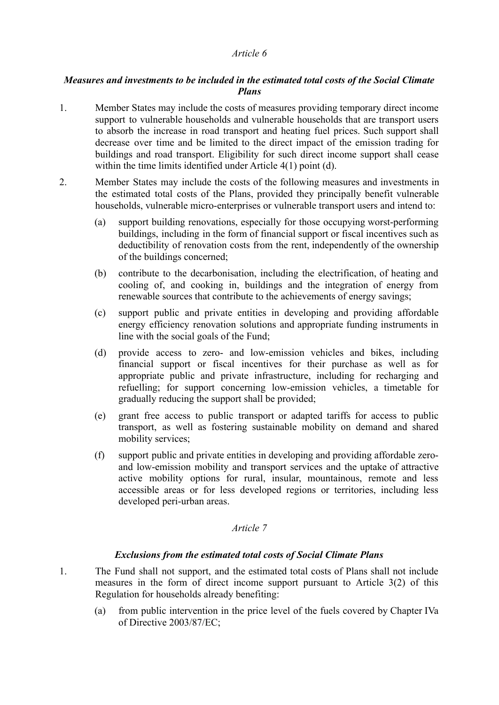### *Measures and investments to be included in the estimated total costs of the Social Climate Plans*

- 1. Member States may include the costs of measures providing temporary direct income support to vulnerable households and vulnerable households that are transport users to absorb the increase in road transport and heating fuel prices. Such support shall decrease over time and be limited to the direct impact of the emission trading for buildings and road transport. Eligibility for such direct income support shall cease within the time limits identified under Article 4(1) point (d).
- 2. Member States may include the costs of the following measures and investments in the estimated total costs of the Plans, provided they principally benefit vulnerable households, vulnerable micro-enterprises or vulnerable transport users and intend to:
	- (a) support building renovations, especially for those occupying worst-performing buildings, including in the form of financial support or fiscal incentives such as deductibility of renovation costs from the rent, independently of the ownership of the buildings concerned;
	- (b) contribute to the decarbonisation, including the electrification, of heating and cooling of, and cooking in, buildings and the integration of energy from renewable sources that contribute to the achievements of energy savings;
	- (c) support public and private entities in developing and providing affordable energy efficiency renovation solutions and appropriate funding instruments in line with the social goals of the Fund;
	- (d) provide access to zero- and low-emission vehicles and bikes, including financial support or fiscal incentives for their purchase as well as for appropriate public and private infrastructure, including for recharging and refuelling; for support concerning low-emission vehicles, a timetable for gradually reducing the support shall be provided;
	- (e) grant free access to public transport or adapted tariffs for access to public transport, as well as fostering sustainable mobility on demand and shared mobility services;
	- (f) support public and private entities in developing and providing affordable zeroand low-emission mobility and transport services and the uptake of attractive active mobility options for rural, insular, mountainous, remote and less accessible areas or for less developed regions or territories, including less developed peri-urban areas.

#### *Article 7*

#### *Exclusions from the estimated total costs of Social Climate Plans*

- 1. The Fund shall not support, and the estimated total costs of Plans shall not include measures in the form of direct income support pursuant to Article 3(2) of this Regulation for households already benefiting:
	- (a) from public intervention in the price level of the fuels covered by Chapter IVa of Directive 2003/87/EC;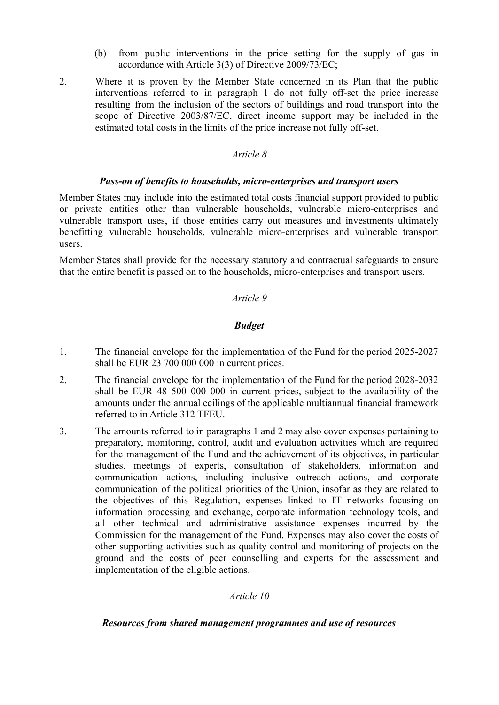- (b) from public interventions in the price setting for the supply of gas in accordance with Article 3(3) of Directive 2009/73/EC;
- 2. Where it is proven by the Member State concerned in its Plan that the public interventions referred to in paragraph 1 do not fully off-set the price increase resulting from the inclusion of the sectors of buildings and road transport into the scope of Directive 2003/87/EC, direct income support may be included in the estimated total costs in the limits of the price increase not fully off-set.

#### *Pass-on of benefits to households, micro-enterprises and transport users*

Member States may include into the estimated total costs financial support provided to public or private entities other than vulnerable households, vulnerable micro-enterprises and vulnerable transport uses, if those entities carry out measures and investments ultimately benefitting vulnerable households, vulnerable micro-enterprises and vulnerable transport users.

Member States shall provide for the necessary statutory and contractual safeguards to ensure that the entire benefit is passed on to the households, micro-enterprises and transport users.

### *Article 9*

### *Budget*

- 1. The financial envelope for the implementation of the Fund for the period 2025-2027 shall be EUR 23 700 000 000 in current prices.
- 2. The financial envelope for the implementation of the Fund for the period 2028-2032 shall be EUR 48 500 000 000 in current prices, subject to the availability of the amounts under the annual ceilings of the applicable multiannual financial framework referred to in Article 312 TFEU.
- 3. The amounts referred to in paragraphs 1 and 2 may also cover expenses pertaining to preparatory, monitoring, control, audit and evaluation activities which are required for the management of the Fund and the achievement of its objectives, in particular studies, meetings of experts, consultation of stakeholders, information and communication actions, including inclusive outreach actions, and corporate communication of the political priorities of the Union, insofar as they are related to the objectives of this Regulation, expenses linked to IT networks focusing on information processing and exchange, corporate information technology tools, and all other technical and administrative assistance expenses incurred by the Commission for the management of the Fund. Expenses may also cover the costs of other supporting activities such as quality control and monitoring of projects on the ground and the costs of peer counselling and experts for the assessment and implementation of the eligible actions.

### *Article 10*

### *Resources from shared management programmes and use of resources*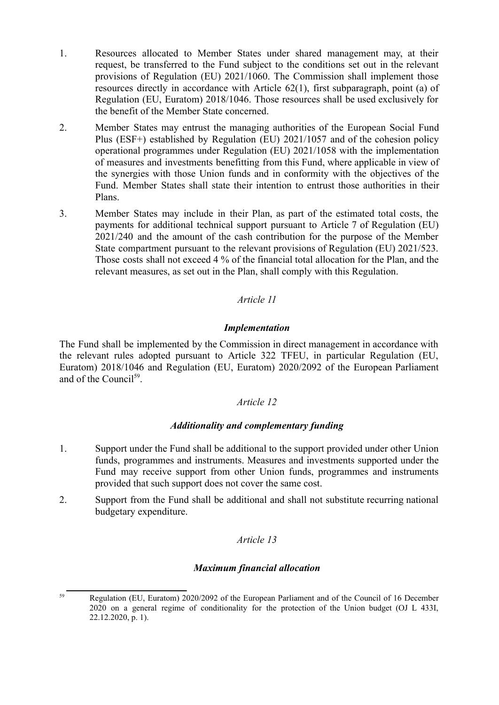- 1. Resources allocated to Member States under shared management may, at their request, be transferred to the Fund subject to the conditions set out in the relevant provisions of Regulation (EU) 2021/1060. The Commission shall implement those resources directly in accordance with Article 62(1), first subparagraph, point (a) of Regulation (EU, Euratom) 2018/1046. Those resources shall be used exclusively for the benefit of the Member State concerned.
- 2. Member States may entrust the managing authorities of the European Social Fund Plus (ESF+) established by Regulation (EU) 2021/1057 and of the cohesion policy operational programmes under Regulation (EU) 2021/1058 with the implementation of measures and investments benefitting from this Fund, where applicable in view of the synergies with those Union funds and in conformity with the objectives of the Fund. Member States shall state their intention to entrust those authorities in their Plans.
- 3. Member States may include in their Plan, as part of the estimated total costs, the payments for additional technical support pursuant to Article 7 of Regulation (EU) 2021/240 and the amount of the cash contribution for the purpose of the Member State compartment pursuant to the relevant provisions of Regulation (EU) 2021/523. Those costs shall not exceed 4 % of the financial total allocation for the Plan, and the relevant measures, as set out in the Plan, shall comply with this Regulation.

### *Implementation*

The Fund shall be implemented by the Commission in direct management in accordance with the relevant rules adopted pursuant to Article 322 TFEU, in particular Regulation (EU, Euratom) 2018/1046 and Regulation (EU, Euratom) 2020/2092 of the European Parliament and of the Council<sup>59</sup>.

### *Article 12*

### *Additionality and complementary funding*

- 1. Support under the Fund shall be additional to the support provided under other Union funds, programmes and instruments. Measures and investments supported under the Fund may receive support from other Union funds, programmes and instruments provided that such support does not cover the same cost.
- 2. Support from the Fund shall be additional and shall not substitute recurring national budgetary expenditure.

### *Article 13*

#### *Maximum financial allocation*

<sup>59</sup> Regulation (EU, Euratom) 2020/2092 of the European Parliament and of the Council of 16 December 2020 on a general regime of conditionality for the protection of the Union budget (OJ L 433I, 22.12.2020, p. 1).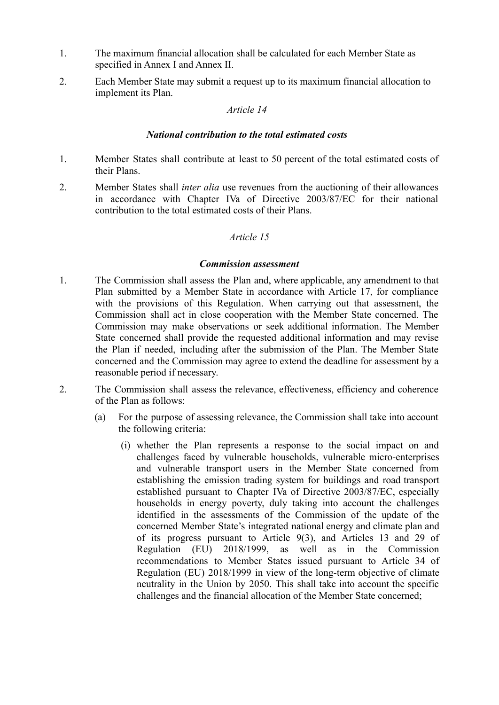- 1. The maximum financial allocation shall be calculated for each Member State as specified in Annex I and Annex II.
- 2. Each Member State may submit a request up to its maximum financial allocation to implement its Plan.

#### *National contribution to the total estimated costs*

- 1. Member States shall contribute at least to 50 percent of the total estimated costs of their Plans.
- 2. Member States shall *inter alia* use revenues from the auctioning of their allowances in accordance with Chapter IVa of Directive 2003/87/EC for their national contribution to the total estimated costs of their Plans.

### *Article 15*

### *Commission assessment*

- 1. The Commission shall assess the Plan and, where applicable, any amendment to that Plan submitted by a Member State in accordance with Article 17, for compliance with the provisions of this Regulation. When carrying out that assessment, the Commission shall act in close cooperation with the Member State concerned. The Commission may make observations or seek additional information. The Member State concerned shall provide the requested additional information and may revise the Plan if needed, including after the submission of the Plan. The Member State concerned and the Commission may agree to extend the deadline for assessment by a reasonable period if necessary.
- 2. The Commission shall assess the relevance, effectiveness, efficiency and coherence of the Plan as follows:
	- (a) For the purpose of assessing relevance, the Commission shall take into account the following criteria:
		- (i) whether the Plan represents a response to the social impact on and challenges faced by vulnerable households, vulnerable micro-enterprises and vulnerable transport users in the Member State concerned from establishing the emission trading system for buildings and road transport established pursuant to Chapter IVa of Directive 2003/87/EC, especially households in energy poverty, duly taking into account the challenges identified in the assessments of the Commission of the update of the concerned Member State's integrated national energy and climate plan and of its progress pursuant to Article 9(3), and Articles 13 and 29 of Regulation (EU) 2018/1999, as well as in the Commission recommendations to Member States issued pursuant to Article 34 of Regulation (EU) 2018/1999 in view of the long-term objective of climate neutrality in the Union by 2050. This shall take into account the specific challenges and the financial allocation of the Member State concerned;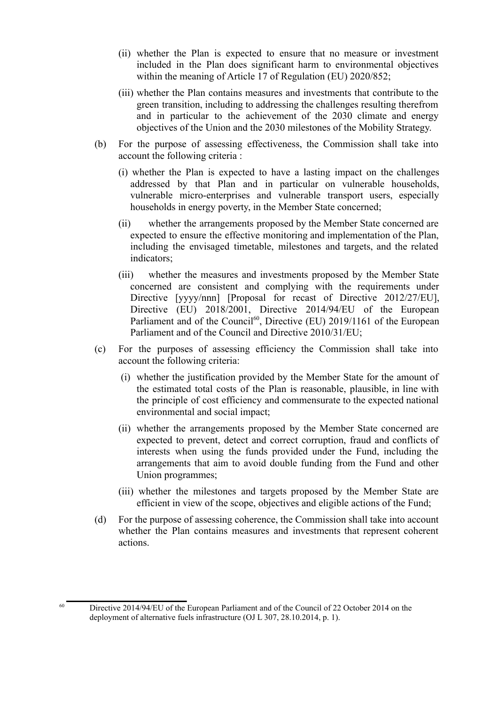- (ii) whether the Plan is expected to ensure that no measure or investment included in the Plan does significant harm to environmental objectives within the meaning of Article 17 of Regulation (EU) 2020/852;
- (iii) whether the Plan contains measures and investments that contribute to the green transition, including to addressing the challenges resulting therefrom and in particular to the achievement of the 2030 climate and energy objectives of the Union and the 2030 milestones of the Mobility Strategy.
- (b) For the purpose of assessing effectiveness, the Commission shall take into account the following criteria :
	- (i) whether the Plan is expected to have a lasting impact on the challenges addressed by that Plan and in particular on vulnerable households, vulnerable micro-enterprises and vulnerable transport users, especially households in energy poverty, in the Member State concerned;
	- (ii) whether the arrangements proposed by the Member State concerned are expected to ensure the effective monitoring and implementation of the Plan, including the envisaged timetable, milestones and targets, and the related indicators;
	- (iii) whether the measures and investments proposed by the Member State concerned are consistent and complying with the requirements under Directive [yyyy/nnn] [Proposal for recast of Directive 2012/27/EU], Directive (EU) 2018/2001, Directive 2014/94/EU of the European Parliament and of the Council<sup>60</sup>, Directive (EU) 2019/1161 of the European Parliament and of the Council and Directive 2010/31/EU;
- (c) For the purposes of assessing efficiency the Commission shall take into account the following criteria:
	- (i) whether the justification provided by the Member State for the amount of the estimated total costs of the Plan is reasonable, plausible, in line with the principle of cost efficiency and commensurate to the expected national environmental and social impact;
	- (ii) whether the arrangements proposed by the Member State concerned are expected to prevent, detect and correct corruption, fraud and conflicts of interests when using the funds provided under the Fund, including the arrangements that aim to avoid double funding from the Fund and other Union programmes;
	- (iii) whether the milestones and targets proposed by the Member State are efficient in view of the scope, objectives and eligible actions of the Fund;
- (d) For the purpose of assessing coherence, the Commission shall take into account whether the Plan contains measures and investments that represent coherent actions.

<sup>&</sup>lt;sup>60</sup> Directive 2014/94/EU of the European Parliament and of the Council of 22 October 2014 on the deployment of alternative fuels infrastructure (OJ L 307, 28.10.2014, p. 1).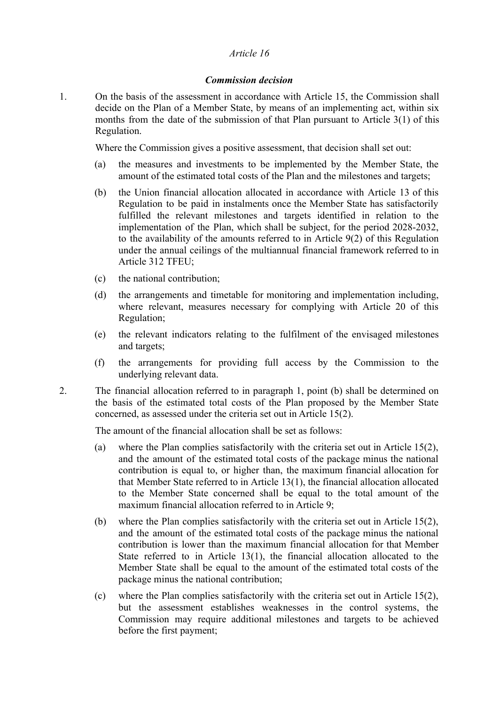#### *Commission decision*

1. On the basis of the assessment in accordance with Article 15, the Commission shall decide on the Plan of a Member State, by means of an implementing act, within six months from the date of the submission of that Plan pursuant to Article 3(1) of this Regulation.

Where the Commission gives a positive assessment, that decision shall set out:

- (a) the measures and investments to be implemented by the Member State, the amount of the estimated total costs of the Plan and the milestones and targets;
- (b) the Union financial allocation allocated in accordance with Article 13 of this Regulation to be paid in instalments once the Member State has satisfactorily fulfilled the relevant milestones and targets identified in relation to the implementation of the Plan, which shall be subject, for the period 2028-2032, to the availability of the amounts referred to in Article 9(2) of this Regulation under the annual ceilings of the multiannual financial framework referred to in Article 312 TFEU;
- (c) the national contribution;
- (d) the arrangements and timetable for monitoring and implementation including, where relevant, measures necessary for complying with Article 20 of this Regulation;
- (e) the relevant indicators relating to the fulfilment of the envisaged milestones and targets;
- (f) the arrangements for providing full access by the Commission to the underlying relevant data.
- 2. The financial allocation referred to in paragraph 1, point (b) shall be determined on the basis of the estimated total costs of the Plan proposed by the Member State concerned, as assessed under the criteria set out in Article 15(2).

The amount of the financial allocation shall be set as follows:

- (a) where the Plan complies satisfactorily with the criteria set out in Article 15(2), and the amount of the estimated total costs of the package minus the national contribution is equal to, or higher than, the maximum financial allocation for that Member State referred to in Article 13(1), the financial allocation allocated to the Member State concerned shall be equal to the total amount of the maximum financial allocation referred to in Article 9;
- (b) where the Plan complies satisfactorily with the criteria set out in Article 15(2), and the amount of the estimated total costs of the package minus the national contribution is lower than the maximum financial allocation for that Member State referred to in Article 13(1), the financial allocation allocated to the Member State shall be equal to the amount of the estimated total costs of the package minus the national contribution;
- (c) where the Plan complies satisfactorily with the criteria set out in Article 15(2), but the assessment establishes weaknesses in the control systems, the Commission may require additional milestones and targets to be achieved before the first payment;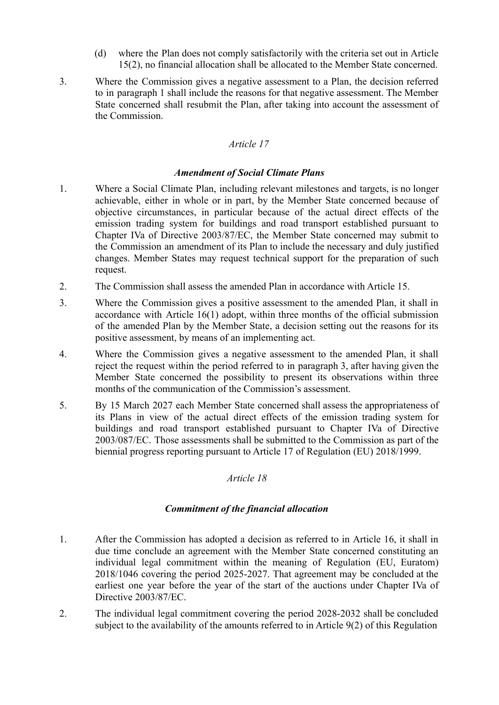- (d) where the Plan does not comply satisfactorily with the criteria set out in Article 15(2), no financial allocation shall be allocated to the Member State concerned.
- 3. Where the Commission gives a negative assessment to a Plan, the decision referred to in paragraph 1 shall include the reasons for that negative assessment. The Member State concerned shall resubmit the Plan, after taking into account the assessment of the Commission.

### *Amendment of Social Climate Plans*

- 1. Where a Social Climate Plan, including relevant milestones and targets, is no longer achievable, either in whole or in part, by the Member State concerned because of objective circumstances, in particular because of the actual direct effects of the emission trading system for buildings and road transport established pursuant to Chapter IVa of Directive 2003/87/EC, the Member State concerned may submit to the Commission an amendment of its Plan to include the necessary and duly justified changes. Member States may request technical support for the preparation of such request.
- 2. The Commission shall assess the amended Plan in accordance with Article 15.
- 3. Where the Commission gives a positive assessment to the amended Plan, it shall in accordance with Article 16(1) adopt, within three months of the official submission of the amended Plan by the Member State, a decision setting out the reasons for its positive assessment, by means of an implementing act.
- 4. Where the Commission gives a negative assessment to the amended Plan, it shall reject the request within the period referred to in paragraph 3, after having given the Member State concerned the possibility to present its observations within three months of the communication of the Commission's assessment.
- 5. By 15 March 2027 each Member State concerned shall assess the appropriateness of its Plans in view of the actual direct effects of the emission trading system for buildings and road transport established pursuant to Chapter IVa of Directive 2003/087/EC. Those assessments shall be submitted to the Commission as part of the biennial progress reporting pursuant to Article 17 of Regulation (EU) 2018/1999.

#### *Article 18*

### *Commitment of the financial allocation*

- 1. After the Commission has adopted a decision as referred to in Article 16, it shall in due time conclude an agreement with the Member State concerned constituting an individual legal commitment within the meaning of Regulation (EU, Euratom) 2018/1046 covering the period 2025-2027. That agreement may be concluded at the earliest one year before the year of the start of the auctions under Chapter IVa of Directive 2003/87/EC.
- 2. The individual legal commitment covering the period 2028-2032 shall be concluded subject to the availability of the amounts referred to in Article 9(2) of this Regulation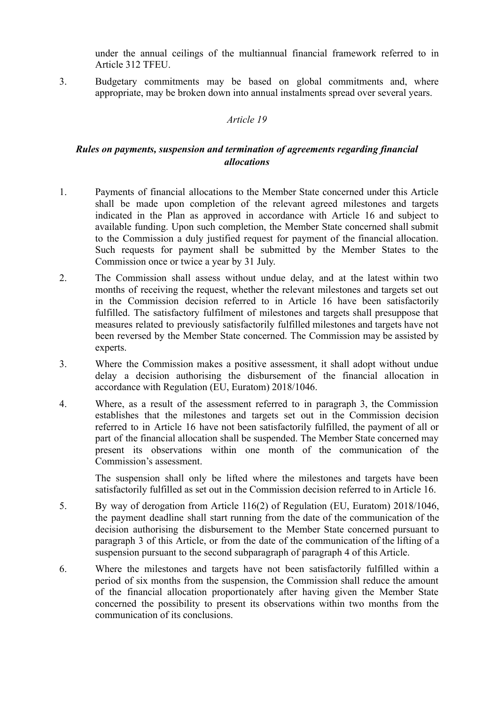under the annual ceilings of the multiannual financial framework referred to in Article 312 TFEU.

3. Budgetary commitments may be based on global commitments and, where appropriate, may be broken down into annual instalments spread over several years.

#### *Article 19*

# *Rules on payments, suspension and termination of agreements regarding financial allocations*

- 1. Payments of financial allocations to the Member State concerned under this Article shall be made upon completion of the relevant agreed milestones and targets indicated in the Plan as approved in accordance with Article 16 and subject to available funding. Upon such completion, the Member State concerned shall submit to the Commission a duly justified request for payment of the financial allocation. Such requests for payment shall be submitted by the Member States to the Commission once or twice a year by 31 July.
- 2. The Commission shall assess without undue delay, and at the latest within two months of receiving the request, whether the relevant milestones and targets set out in the Commission decision referred to in Article 16 have been satisfactorily fulfilled. The satisfactory fulfilment of milestones and targets shall presuppose that measures related to previously satisfactorily fulfilled milestones and targets have not been reversed by the Member State concerned. The Commission may be assisted by experts.
- 3. Where the Commission makes a positive assessment, it shall adopt without undue delay a decision authorising the disbursement of the financial allocation in accordance with Regulation (EU, Euratom) 2018/1046.
- 4. Where, as a result of the assessment referred to in paragraph 3, the Commission establishes that the milestones and targets set out in the Commission decision referred to in Article 16 have not been satisfactorily fulfilled, the payment of all or part of the financial allocation shall be suspended. The Member State concerned may present its observations within one month of the communication of the Commission's assessment.

The suspension shall only be lifted where the milestones and targets have been satisfactorily fulfilled as set out in the Commission decision referred to in Article 16.

- 5. By way of derogation from Article 116(2) of Regulation (EU, Euratom) 2018/1046, the payment deadline shall start running from the date of the communication of the decision authorising the disbursement to the Member State concerned pursuant to paragraph 3 of this Article, or from the date of the communication of the lifting of a suspension pursuant to the second subparagraph of paragraph 4 of this Article.
- 6. Where the milestones and targets have not been satisfactorily fulfilled within a period of six months from the suspension, the Commission shall reduce the amount of the financial allocation proportionately after having given the Member State concerned the possibility to present its observations within two months from the communication of its conclusions.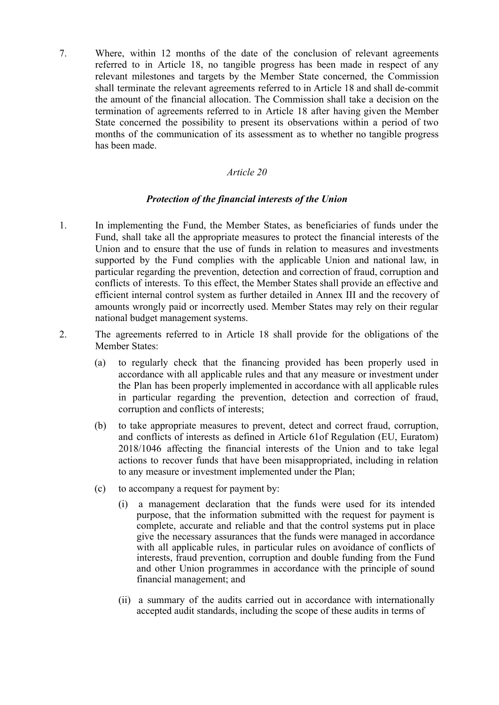7. Where, within 12 months of the date of the conclusion of relevant agreements referred to in Article 18, no tangible progress has been made in respect of any relevant milestones and targets by the Member State concerned, the Commission shall terminate the relevant agreements referred to in Article 18 and shall de-commit the amount of the financial allocation. The Commission shall take a decision on the termination of agreements referred to in Article 18 after having given the Member State concerned the possibility to present its observations within a period of two months of the communication of its assessment as to whether no tangible progress has been made.

#### *Article 20*

#### *Protection of the financial interests of the Union*

- 1. In implementing the Fund, the Member States, as beneficiaries of funds under the Fund, shall take all the appropriate measures to protect the financial interests of the Union and to ensure that the use of funds in relation to measures and investments supported by the Fund complies with the applicable Union and national law, in particular regarding the prevention, detection and correction of fraud, corruption and conflicts of interests. To this effect, the Member States shall provide an effective and efficient internal control system as further detailed in Annex III and the recovery of amounts wrongly paid or incorrectly used. Member States may rely on their regular national budget management systems.
- 2. The agreements referred to in Article 18 shall provide for the obligations of the Member States:
	- (a) to regularly check that the financing provided has been properly used in accordance with all applicable rules and that any measure or investment under the Plan has been properly implemented in accordance with all applicable rules in particular regarding the prevention, detection and correction of fraud, corruption and conflicts of interests;
	- (b) to take appropriate measures to prevent, detect and correct fraud, corruption, and conflicts of interests as defined in Article 61of Regulation (EU, Euratom) 2018/1046 affecting the financial interests of the Union and to take legal actions to recover funds that have been misappropriated, including in relation to any measure or investment implemented under the Plan;
	- (c) to accompany a request for payment by:
		- (i) a management declaration that the funds were used for its intended purpose, that the information submitted with the request for payment is complete, accurate and reliable and that the control systems put in place give the necessary assurances that the funds were managed in accordance with all applicable rules, in particular rules on avoidance of conflicts of interests, fraud prevention, corruption and double funding from the Fund and other Union programmes in accordance with the principle of sound financial management; and
		- (ii) a summary of the audits carried out in accordance with internationally accepted audit standards, including the scope of these audits in terms of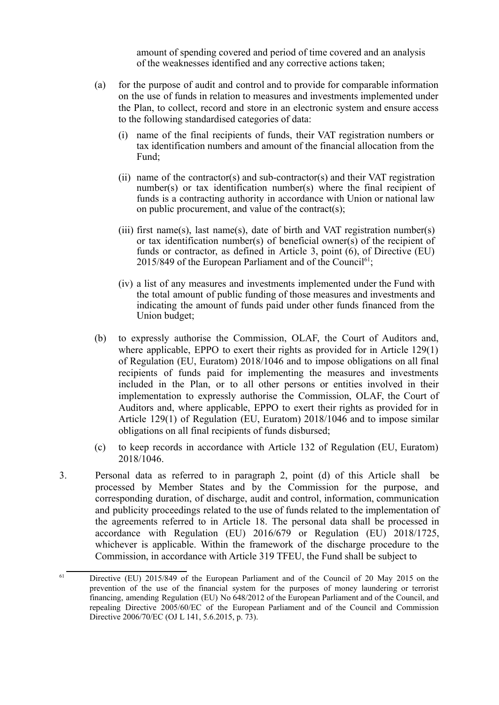amount of spending covered and period of time covered and an analysis of the weaknesses identified and any corrective actions taken;

- (a) for the purpose of audit and control and to provide for comparable information on the use of funds in relation to measures and investments implemented under the Plan, to collect, record and store in an electronic system and ensure access to the following standardised categories of data:
	- (i) name of the final recipients of funds, their VAT registration numbers or tax identification numbers and amount of the financial allocation from the Fund;
	- (ii) name of the contractor(s) and sub-contractor(s) and their VAT registration number(s) or tax identification number(s) where the final recipient of funds is a contracting authority in accordance with Union or national law on public procurement, and value of the contract(s);
	- (iii) first name(s), last name(s), date of birth and VAT registration number(s) or tax identification number(s) of beneficial owner(s) of the recipient of funds or contractor, as defined in Article 3, point (6), of Directive (EU)  $2015/849$  of the European Parliament and of the Council<sup>61</sup>;
	- (iv) a list of any measures and investments implemented under the Fund with the total amount of public funding of those measures and investments and indicating the amount of funds paid under other funds financed from the Union budget;
- (b) to expressly authorise the Commission, OLAF, the Court of Auditors and, where applicable, EPPO to exert their rights as provided for in Article 129(1) of Regulation (EU, Euratom) 2018/1046 and to impose obligations on all final recipients of funds paid for implementing the measures and investments included in the Plan, or to all other persons or entities involved in their implementation to expressly authorise the Commission, OLAF, the Court of Auditors and, where applicable, EPPO to exert their rights as provided for in Article 129(1) of Regulation (EU, Euratom) 2018/1046 and to impose similar obligations on all final recipients of funds disbursed;
- (c) to keep records in accordance with Article 132 of Regulation (EU, Euratom) 2018/1046.
- 3. Personal data as referred to in paragraph 2, point (d) of this Article shall be processed by Member States and by the Commission for the purpose, and corresponding duration, of discharge, audit and control, information, communication and publicity proceedings related to the use of funds related to the implementation of the agreements referred to in Article 18. The personal data shall be processed in accordance with Regulation (EU) 2016/679 or Regulation (EU) 2018/1725, whichever is applicable. Within the framework of the discharge procedure to the Commission, in accordance with Article 319 TFEU, the Fund shall be subject to

<sup>&</sup>lt;sup>61</sup> Directive (EU) 2015/849 of the European Parliament and of the Council of 20 May 2015 on the prevention of the use of the financial system for the purposes of money laundering or terrorist financing, amending Regulation (EU) No 648/2012 of the European Parliament and of the Council, and repealing Directive 2005/60/EC of the European Parliament and of the Council and Commission Directive 2006/70/EC (OJ L 141, 5.6.2015, p. 73).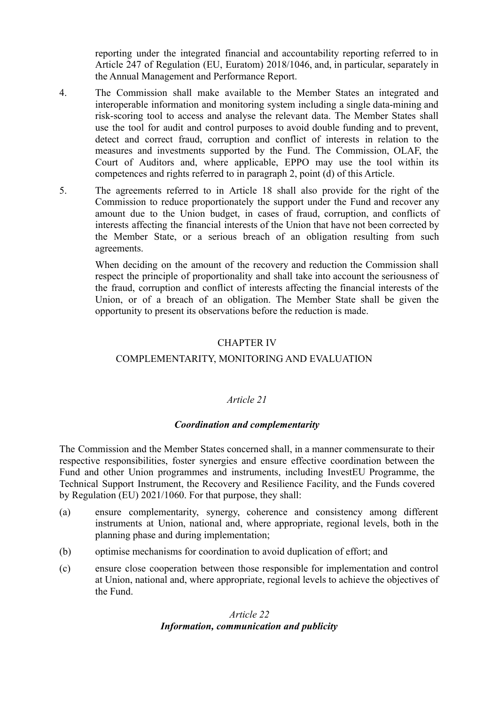reporting under the integrated financial and accountability reporting referred to in Article 247 of Regulation (EU, Euratom) 2018/1046, and, in particular, separately in the Annual Management and Performance Report.

- 4. The Commission shall make available to the Member States an integrated and interoperable information and monitoring system including a single data-mining and risk-scoring tool to access and analyse the relevant data. The Member States shall use the tool for audit and control purposes to avoid double funding and to prevent, detect and correct fraud, corruption and conflict of interests in relation to the measures and investments supported by the Fund. The Commission, OLAF, the Court of Auditors and, where applicable, EPPO may use the tool within its competences and rights referred to in paragraph 2, point (d) of this Article.
- 5. The agreements referred to in Article 18 shall also provide for the right of the Commission to reduce proportionately the support under the Fund and recover any amount due to the Union budget, in cases of fraud, corruption, and conflicts of interests affecting the financial interests of the Union that have not been corrected by the Member State, or a serious breach of an obligation resulting from such agreements.

When deciding on the amount of the recovery and reduction the Commission shall respect the principle of proportionality and shall take into account the seriousness of the fraud, corruption and conflict of interests affecting the financial interests of the Union, or of a breach of an obligation. The Member State shall be given the opportunity to present its observations before the reduction is made.

### CHAPTER IV

### COMPLEMENTARITY, MONITORING AND EVALUATION

### *Article 21*

### *Coordination and complementarity*

The Commission and the Member States concerned shall, in a manner commensurate to their respective responsibilities, foster synergies and ensure effective coordination between the Fund and other Union programmes and instruments, including InvestEU Programme, the Technical Support Instrument, the Recovery and Resilience Facility, and the Funds covered by Regulation (EU) 2021/1060. For that purpose, they shall:

- (a) ensure complementarity, synergy, coherence and consistency among different instruments at Union, national and, where appropriate, regional levels, both in the planning phase and during implementation;
- (b) optimise mechanisms for coordination to avoid duplication of effort; and
- (c) ensure close cooperation between those responsible for implementation and control at Union, national and, where appropriate, regional levels to achieve the objectives of the Fund.

# *Article 22 Information, communication and publicity*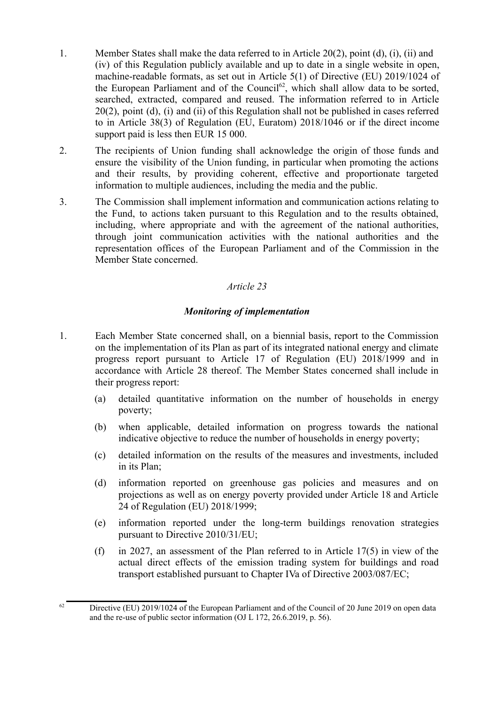- 1. Member States shall make the data referred to in Article 20(2), point (d), (i), (ii) and (iv) of this Regulation publicly available and up to date in a single website in open, machine-readable formats, as set out in Article 5(1) of Directive (EU) 2019/1024 of the European Parliament and of the Council<sup>62</sup>, which shall allow data to be sorted, searched, extracted, compared and reused. The information referred to in Article 20(2), point (d), (i) and (ii) of this Regulation shall not be published in cases referred to in Article 38(3) of Regulation (EU, Euratom) 2018/1046 or if the direct income support paid is less then EUR 15 000.
- 2. The recipients of Union funding shall acknowledge the origin of those funds and ensure the visibility of the Union funding, in particular when promoting the actions and their results, by providing coherent, effective and proportionate targeted information to multiple audiences, including the media and the public.
- 3. The Commission shall implement information and communication actions relating to the Fund, to actions taken pursuant to this Regulation and to the results obtained, including, where appropriate and with the agreement of the national authorities, through joint communication activities with the national authorities and the representation offices of the European Parliament and of the Commission in the Member State concerned.

### *Monitoring of implementation*

- 1. Each Member State concerned shall, on a biennial basis, report to the Commission on the implementation of its Plan as part of its integrated national energy and climate progress report pursuant to Article 17 of Regulation (EU) 2018/1999 and in accordance with Article 28 thereof. The Member States concerned shall include in their progress report:
	- (a) detailed quantitative information on the number of households in energy poverty;
	- (b) when applicable, detailed information on progress towards the national indicative objective to reduce the number of households in energy poverty;
	- (c) detailed information on the results of the measures and investments, included in its Plan;
	- (d) information reported on greenhouse gas policies and measures and on projections as well as on energy poverty provided under Article 18 and Article 24 of Regulation (EU) 2018/1999;
	- (e) information reported under the long-term buildings renovation strategies pursuant to Directive 2010/31/EU;
	- (f) in 2027, an assessment of the Plan referred to in Article 17(5) in view of the actual direct effects of the emission trading system for buildings and road transport established pursuant to Chapter IVa of Directive 2003/087/EC;

 $62$  Directive (EU) 2019/1024 of the European Parliament and of the Council of 20 June 2019 on open data and the re-use of public sector information (OJ L 172, 26.6.2019, p. 56).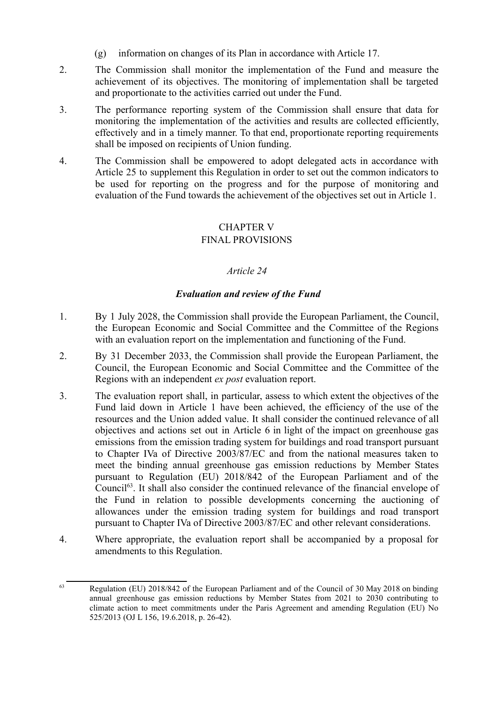- (g) information on changes of its Plan in accordance with Article 17.
- 2. The Commission shall monitor the implementation of the Fund and measure the achievement of its objectives. The monitoring of implementation shall be targeted and proportionate to the activities carried out under the Fund.
- 3. The performance reporting system of the Commission shall ensure that data for monitoring the implementation of the activities and results are collected efficiently, effectively and in a timely manner. To that end, proportionate reporting requirements shall be imposed on recipients of Union funding.
- 4. The Commission shall be empowered to adopt delegated acts in accordance with Article 25 to supplement this Regulation in order to set out the common indicators to be used for reporting on the progress and for the purpose of monitoring and evaluation of the Fund towards the achievement of the objectives set out in Article 1.

# CHAPTER V FINAL PROVISIONS

# *Article 24*

# *Evaluation and review of the Fund*

- 1. By 1 July 2028, the Commission shall provide the European Parliament, the Council, the European Economic and Social Committee and the Committee of the Regions with an evaluation report on the implementation and functioning of the Fund.
- 2. By 31 December 2033, the Commission shall provide the European Parliament, the Council, the European Economic and Social Committee and the Committee of the Regions with an independent *ex post* evaluation report.
- 3. The evaluation report shall, in particular, assess to which extent the objectives of the Fund laid down in Article 1 have been achieved, the efficiency of the use of the resources and the Union added value. It shall consider the continued relevance of all objectives and actions set out in Article 6 in light of the impact on greenhouse gas emissions from the emission trading system for buildings and road transport pursuant to Chapter IVa of Directive 2003/87/EC and from the national measures taken to meet the binding annual greenhouse gas emission reductions by Member States pursuant to Regulation (EU) 2018/842 of the European Parliament and of the Council<sup>63</sup>. It shall also consider the continued relevance of the financial envelope of the Fund in relation to possible developments concerning the auctioning of allowances under the emission trading system for buildings and road transport pursuant to Chapter IVa of Directive 2003/87/EC and other relevant considerations.
- 4. Where appropriate, the evaluation report shall be accompanied by a proposal for amendments to this Regulation.

<sup>&</sup>lt;sup>63</sup> Regulation (EU) 2018/842 of the European Parliament and of the Council of 30 May 2018 on binding annual greenhouse gas emission reductions by Member States from 2021 to 2030 contributing to climate action to meet commitments under the Paris Agreement and amending Regulation (EU) No 525/2013 (OJ L 156, 19.6.2018, p. 26-42).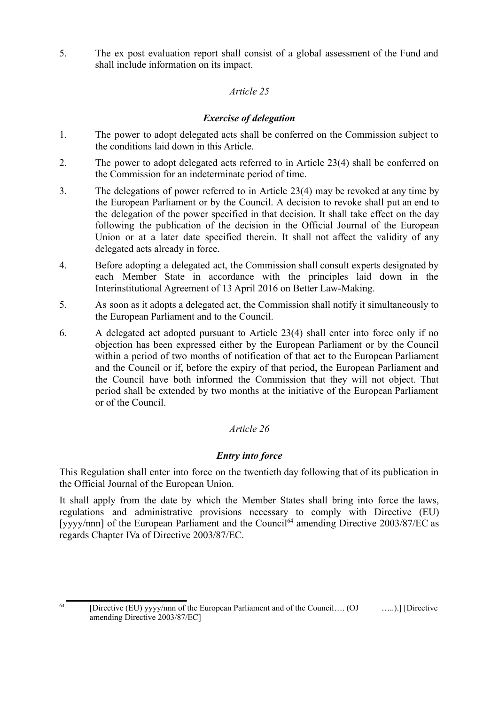5. The ex post evaluation report shall consist of a global assessment of the Fund and shall include information on its impact.

### *Article 25*

# *Exercise of delegation*

- 1. The power to adopt delegated acts shall be conferred on the Commission subject to the conditions laid down in this Article.
- 2. The power to adopt delegated acts referred to in Article 23(4) shall be conferred on the Commission for an indeterminate period of time.
- 3. The delegations of power referred to in Article 23(4) may be revoked at any time by the European Parliament or by the Council. A decision to revoke shall put an end to the delegation of the power specified in that decision. It shall take effect on the day following the publication of the decision in the Official Journal of the European Union or at a later date specified therein. It shall not affect the validity of any delegated acts already in force.
- 4. Before adopting a delegated act, the Commission shall consult experts designated by each Member State in accordance with the principles laid down in the Interinstitutional Agreement of 13 April 2016 on Better Law-Making.
- 5. As soon as it adopts a delegated act, the Commission shall notify it simultaneously to the European Parliament and to the Council.
- 6. A delegated act adopted pursuant to Article 23(4) shall enter into force only if no objection has been expressed either by the European Parliament or by the Council within a period of two months of notification of that act to the European Parliament and the Council or if, before the expiry of that period, the European Parliament and the Council have both informed the Commission that they will not object. That period shall be extended by two months at the initiative of the European Parliament or of the Council.

# *Article 26*

# *Entry into force*

This Regulation shall enter into force on the twentieth day following that of its publication in the Official Journal of the European Union.

It shall apply from the date by which the Member States shall bring into force the laws, regulations and administrative provisions necessary to comply with Directive (EU) [yyyy/nnn] of the European Parliament and the Council<sup>64</sup> amending Directive 2003/87/EC as regards Chapter IVa of Directive 2003/87/EC.

<sup>64</sup> [Directive (EU) yyyy/nnn of the European Parliament and of the Council…. (OJ …..).] [Directive amending Directive 2003/87/EC]